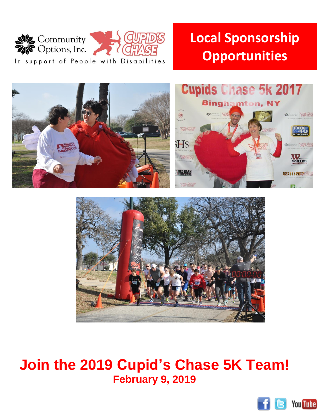

## **Local Sponsorship Opportunities**





## **Join the 2019 Cupid's Chase 5K Team! February 9, 2019**